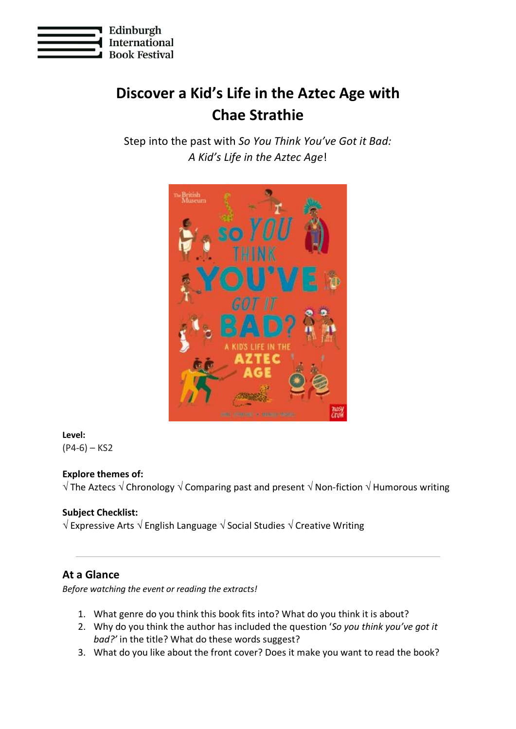

# **Discover a Kid's Life in the Aztec Age with Chae Strathie**

Step into the past with *So You Think You've Got it Bad: A Kid's Life in the Aztec Age*!



## **Level:**

 $(P4-6) - KS2$ 

## **Explore themes of:**

 $\sqrt{\ }$  The Aztecs  $\sqrt{\ }$  Chronology  $\sqrt{\ }$  Comparing past and present  $\sqrt{\ }$  Non-fiction  $\sqrt{\ }$  Humorous writing

## **Subject Checklist:**

 $\sqrt{ }$  Expressive Arts  $\sqrt{ }$  English Language  $\sqrt{ }$  Social Studies  $\sqrt{ }$  Creative Writing

## **At a Glance**

*Before watching the event or reading the extracts!*

- 1. What genre do you think this book fits into? What do you think it is about?
- 2. Why do you think the author has included the question '*So you think you've got it bad?'* in the title? What do these words suggest?
- 3. What do you like about the front cover? Does it make you want to read the book?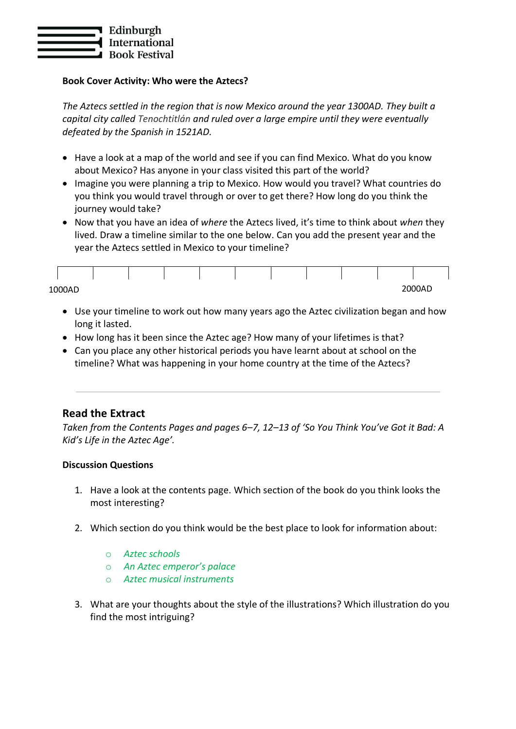

#### **Book Cover Activity: Who were the Aztecs?**

*The Aztecs settled in the region that is now Mexico around the year 1300AD. They built a capital city called Tenochtitlán and ruled over a large empire until they were eventually defeated by the Spanish in 1521AD.*

- Have a look at a map of the world and see if you can find Mexico. What do you know about Mexico? Has anyone in your class visited this part of the world?
- Imagine you were planning a trip to Mexico. How would you travel? What countries do you think you would travel through or over to get there? How long do you think the journey would take?
- Now that you have an idea of *where* the Aztecs lived, it's time to think about *when* they lived. Draw a timeline similar to the one below. Can you add the present year and the year the Aztecs settled in Mexico to your timeline?

| 1000AD |  |  |  |  | 2000AD |  |
|--------|--|--|--|--|--------|--|

- Use your timeline to work out how many years ago the Aztec civilization began and how long it lasted.
- How long has it been since the Aztec age? How many of your lifetimes is that?
- Can you place any other historical periods you have learnt about at school on the timeline? What was happening in your home country at the time of the Aztecs?

## **Read the Extract**

*Taken from the Contents Pages and pages 6–7, 12–13 of 'So You Think You've Got it Bad: A Kid's Life in the Aztec Age'.*

#### **Discussion Questions**

- 1. Have a look at the contents page. Which section of the book do you think looks the most interesting?
- 2. Which section do you think would be the best place to look for information about:
	- o *Aztec schools*
	- o *An Aztec emperor's palace*
	- o *Aztec musical instruments*
- 3. What are your thoughts about the style of the illustrations? Which illustration do you find the most intriguing?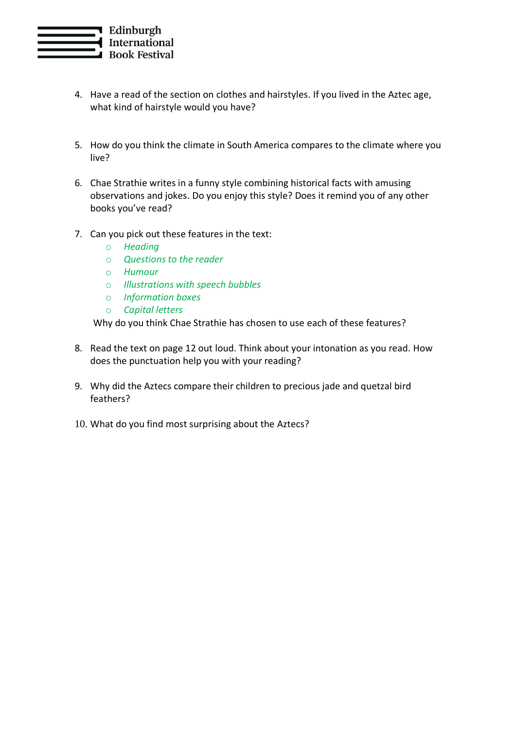

- 4. Have a read of the section on clothes and hairstyles. If you lived in the Aztec age, what kind of hairstyle would you have?
- 5. How do you think the climate in South America compares to the climate where you live?
- 6. Chae Strathie writes in a funny style combining historical facts with amusing observations and jokes. Do you enjoy this style? Does it remind you of any other books you've read?
- 7. Can you pick out these features in the text:
	- o *Heading*
	- o *Questions to the reader*
	- o *Humour*
	- o *Illustrations with speech bubbles*
	- o *Information boxes*
	- o *Capital letters*

Why do you think Chae Strathie has chosen to use each of these features?

- 8. Read the text on page 12 out loud. Think about your intonation as you read. How does the punctuation help you with your reading?
- 9. Why did the Aztecs compare their children to precious jade and quetzal bird feathers?
- 10. What do you find most surprising about the Aztecs?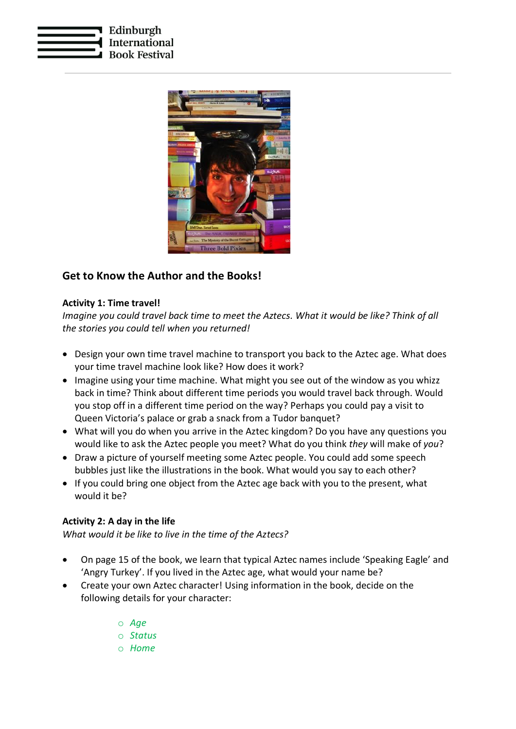



## **Get to Know the Author and the Books!**

#### **Activity 1: Time travel!**

*Imagine you could travel back time to meet the Aztecs. What it would be like? Think of all the stories you could tell when you returned!*

- Design your own time travel machine to transport you back to the Aztec age. What does your time travel machine look like? How does it work?
- Imagine using your time machine. What might you see out of the window as you whizz back in time? Think about different time periods you would travel back through. Would you stop off in a different time period on the way? Perhaps you could pay a visit to Queen Victoria's palace or grab a snack from a Tudor banquet?
- What will you do when you arrive in the Aztec kingdom? Do you have any questions you would like to ask the Aztec people you meet? What do you think *they* will make of *you*?
- Draw a picture of yourself meeting some Aztec people. You could add some speech bubbles just like the illustrations in the book. What would you say to each other?
- If you could bring one object from the Aztec age back with you to the present, what would it be?

#### **Activity 2: A day in the life**

*What would it be like to live in the time of the Aztecs?*

- On page 15 of the book, we learn that typical Aztec names include 'Speaking Eagle' and 'Angry Turkey'. If you lived in the Aztec age, what would your name be?
- Create your own Aztec character! Using information in the book, decide on the following details for your character:
	- o *Age*
	- o *Status*
	- o *Home*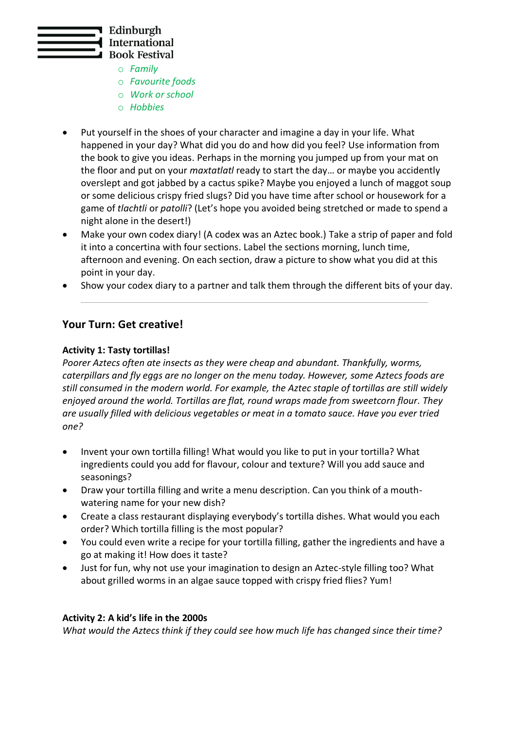

- o *Family*
- o *Favourite foods*
- o *Work or school*
- o *Hobbies*
- Put yourself in the shoes of your character and imagine a day in your life. What happened in your day? What did you do and how did you feel? Use information from the book to give you ideas. Perhaps in the morning you jumped up from your mat on the floor and put on your *maxtatlatl* ready to start the day… or maybe you accidently overslept and got jabbed by a cactus spike? Maybe you enjoyed a lunch of maggot soup or some delicious crispy fried slugs? Did you have time after school or housework for a game of *tlachtli* or *patolli*? (Let's hope you avoided being stretched or made to spend a night alone in the desert!)
- Make your own codex diary! (A codex was an Aztec book.) Take a strip of paper and fold it into a concertina with four sections. Label the sections morning, lunch time, afternoon and evening. On each section, draw a picture to show what you did at this point in your day.
- Show your codex diary to a partner and talk them through the different bits of your day.

## **Your Turn: Get creative!**

#### **Activity 1: Tasty tortillas!**

*Poorer Aztecs often ate insects as they were cheap and abundant. Thankfully, worms, caterpillars and fly eggs are no longer on the menu today. However, some Aztecs foods are still consumed in the modern world. For example, the Aztec staple of tortillas are still widely enjoyed around the world. Tortillas are flat, round wraps made from sweetcorn flour. They are usually filled with delicious vegetables or meat in a tomato sauce. Have you ever tried one?*

- Invent your own tortilla filling! What would you like to put in your tortilla? What ingredients could you add for flavour, colour and texture? Will you add sauce and seasonings?
- Draw your tortilla filling and write a menu description. Can you think of a mouthwatering name for your new dish?
- Create a class restaurant displaying everybody's tortilla dishes. What would you each order? Which tortilla filling is the most popular?
- You could even write a recipe for your tortilla filling, gather the ingredients and have a go at making it! How does it taste?
- Just for fun, why not use your imagination to design an Aztec-style filling too? What about grilled worms in an algae sauce topped with crispy fried flies? Yum!

#### **Activity 2: A kid's life in the 2000s**

*What would the Aztecs think if they could see how much life has changed since their time?*